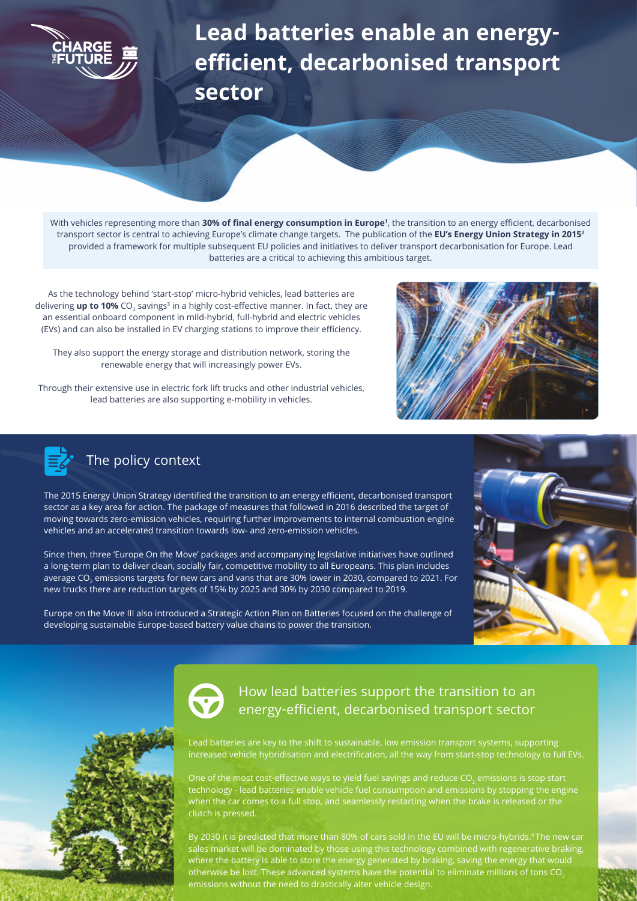## **Lead batteries enable an energyefficient, decarbonised transport sector**

With vehicles representing more than **30% of final energy consumption in Europe<sup>1</sup>** , the transition to an energy efficient, decarbonised transport sector is central to achieving Europe's climate change targets. The publication of the **EU's Energy Union Strategy in 20152** provided a framework for multiple subsequent EU policies and initiatives to deliver transport decarbonisation for Europe. Lead batteries are a critical to achieving this ambitious target.

As the technology behind 'start-stop' micro-hybrid vehicles, lead batteries are delivering up to 10% CO<sub>2</sub> savings<sup>3</sup> in a highly cost-effective manner. In fact, they are an essential onboard component in mild-hybrid, full-hybrid and electric vehicles (EVs) and can also be installed in EV charging stations to improve their efficiency.

They also support the energy storage and distribution network, storing the renewable energy that will increasingly power EVs.

Through their extensive use in electric fork lift trucks and other industrial vehicles, lead batteries are also supporting e-mobility in vehicles.





## The policy context

The 2015 Energy Union Strategy identified the transition to an energy efficient, decarbonised transport sector as a key area for action. The package of measures that followed in 2016 described the target of moving towards zero-emission vehicles, requiring further improvements to internal combustion engine vehicles and an accelerated transition towards low- and zero-emission vehicles.

Since then, three 'Europe On the Move' packages and accompanying legislative initiatives have outlined a long-term plan to deliver clean, socially fair, competitive mobility to all Europeans. This plan includes average CO<sub>2</sub> emissions targets for new cars and vans that are 30% lower in 2030, compared to 2021. For new trucks there are reduction targets of 15% by 2025 and 30% by 2030 compared to 2019.

Europe on the Move III also introduced a Strategic Action Plan on Batteries focused on the challenge of developing sustainable Europe-based battery value chains to power the transition.







## How lead batteries support the transition to an energy-efficient, decarbonised transport sector

Lead batteries are key to the shift to sustainable, low emission transport systems, supporting increased vehicle hybridisation and electrification, all the way from start-stop technology to full EVs.

One of the most cost-effective ways to yield fuel savings and reduce CO<sub>2</sub> emissions is stop start technology - lead batteries enable vehicle fuel consumption and emissions by stopping the engine when the car comes to a full stop, and seamlessly restarting when the brake is released or the clutch is pressed.

By 2030 it is predicted that more than 80% of cars sold in the EU will be micro-hybrids.4 The new car sales market will be dominated by those using this technology combined with regenerative braking, where the battery is able to store the energy generated by braking, saving the energy that would otherwise be lost. These advanced systems have the potential to eliminate millions of tons CO<sub>2</sub> emissions without the need to drastically alter vehicle design.